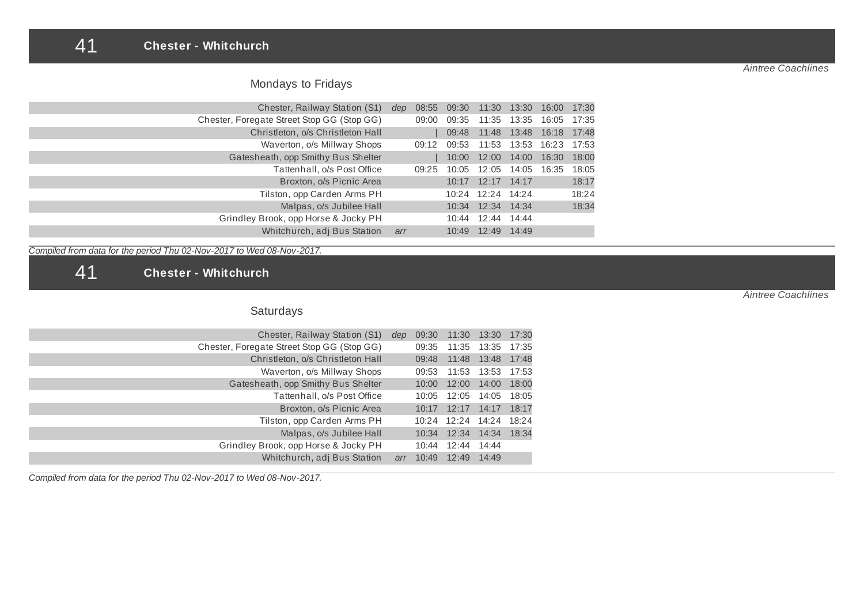### 41 **Chester - Whitchurch**

*Aintree Coachlines*

# Mondays to Fridays

| Chester, Railway Station (S1)              | dep | 08:55 | 09:30 |                         | 11:30 13:30 16:00 17:30 |       |
|--------------------------------------------|-----|-------|-------|-------------------------|-------------------------|-------|
| Chester, Foregate Street Stop GG (Stop GG) |     | 09:00 | 09:35 | 11:35 13:35 16:05 17:35 |                         |       |
| Christleton, o/s Christleton Hall          |     |       | 09:48 |                         | 11:48 13:48 16:18 17:48 |       |
| Waverton, o/s Millway Shops                |     | 09:12 | 09:53 |                         | 11:53 13:53 16:23 17:53 |       |
| Gatesheath, opp Smithy Bus Shelter         |     |       | 10:00 | 12:00 14:00 16:30       |                         | 18:00 |
| Tattenhall, o/s Post Office                |     | 09:25 | 10:05 | 12:05 14:05 16:35       |                         | 18:05 |
| Broxton, o/s Picnic Area                   |     |       |       | 10:17 12:17 14:17       |                         | 18:17 |
| Tilston, opp Carden Arms PH                |     |       |       | 10:24 12:24 14:24       |                         | 18:24 |
| Malpas, o/s Jubilee Hall                   |     |       |       | 10:34 12:34 14:34       |                         | 18:34 |
| Grindley Brook, opp Horse & Jocky PH       |     |       | 10:44 | 12:44 14:44             |                         |       |
| Whitchurch, adj Bus Station                | arr |       |       | 10:49 12:49 14:49       |                         |       |

*Compiled from data for the period Thu 02-Nov-2017 to Wed 08-Nov-2017.*

41 **Chester - Whitchurch**

# Saturdays

| 11:30<br>13:30<br>17:30<br>09:30 | dep | Chester, Railway Station (S1)              |
|----------------------------------|-----|--------------------------------------------|
| 17:35<br>11:35 13:35<br>09:35    |     | Chester, Foregate Street Stop GG (Stop GG) |
| 17:48<br>11:48<br>13:48<br>09:48 |     | Christleton, o/s Christleton Hall          |
| 11:53 13:53<br>17:53<br>09:53    |     | Waverton, o/s Millway Shops                |
| 18:00<br>12:00<br>14:00<br>10:00 |     | Gatesheath, opp Smithy Bus Shelter         |
| 18:05<br>12:05 14:05<br>10:05    |     | Tattenhall, o/s Post Office                |
| 18:17<br>12:17<br>14:17<br>10:17 |     | Broxton, o/s Picnic Area                   |
| 18:24<br>10:24 12:24 14:24       |     | Tilston, opp Carden Arms PH                |
| 12:34<br>18:34<br>14:34<br>10:34 |     | Malpas, o/s Jubilee Hall                   |
| 12:44<br>14:44<br>10:44          |     | Grindley Brook, opp Horse & Jocky PH       |
| 12:49<br>14:49<br>10:49<br>arr   |     | Whitchurch, adj Bus Station                |
|                                  |     |                                            |

*Compiled from data for the period Thu 02-Nov-2017 to Wed 08-Nov-2017.*

*Aintree Coachlines*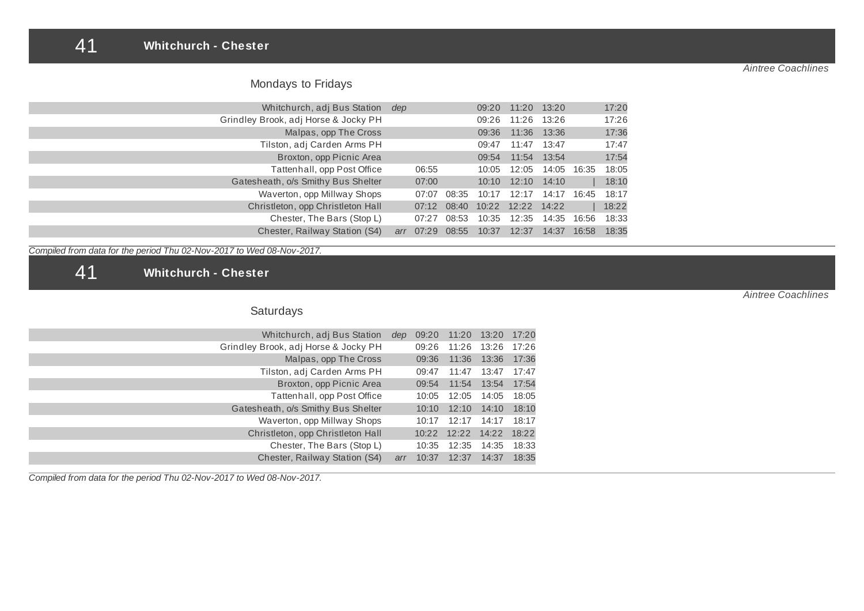### 41 **Whitchurch - Chester**

| Whitchurch, adj Bus Station          | dep |             |             | 09:20 | 11:20 13:20       |             |       | 17:20 |
|--------------------------------------|-----|-------------|-------------|-------|-------------------|-------------|-------|-------|
| Grindley Brook, adj Horse & Jocky PH |     |             |             | 09:26 | 11:26 13:26       |             |       | 17:26 |
| Malpas, opp The Cross                |     |             |             | 09:36 | 11:36 13:36       |             |       | 17:36 |
| Tilston, adj Carden Arms PH          |     |             |             | 09:47 | 11:47             | 13:47       |       | 17:47 |
| Broxton, opp Picnic Area             |     |             |             | 09:54 | 11:54 13:54       |             |       | 17:54 |
| Tattenhall, opp Post Office          |     | 06:55       |             | 10:05 | 12:05             | 14:05 16:35 |       | 18:05 |
| Gatesheath, o/s Smithy Bus Shelter   |     | 07:00       |             | 10:10 | 12:10             | 14:10       |       | 18:10 |
| Waverton, opp Millway Shops          |     | 07:07       | 08:35       | 10:17 | 12:17             | 14:17       | 16:45 | 18:17 |
| Christleton, opp Christleton Hall    |     |             | 07:12 08:40 |       | 10:22 12:22 14:22 |             |       | 18:22 |
| Chester, The Bars (Stop L)           |     | 07:27       | 08:53       | 10:35 | 12:35             | 14:35 16:56 |       | 18:33 |
| Chester, Railway Station (S4)        | arr | 07:29 08:55 |             | 10:37 | 12:37             | 14:37       | 16:58 | 18:35 |

*Compiled from data for the period Thu 02-Nov-2017 to Wed 08-Nov-2017.*

41 **Whitchurch - Chester**

# Saturdays

| 17:20 | 11:20 13:20       |                   | 09:20 | dep | Whitchurch, adj Bus Station          |
|-------|-------------------|-------------------|-------|-----|--------------------------------------|
|       | 11:26 13:26 17:26 |                   | 09:26 |     | Grindley Brook, adj Horse & Jocky PH |
| 17:36 | 13:36             | 11:36             | 09:36 |     | Malpas, opp The Cross                |
| 17:47 | 13:47             | 11:47             | 09:47 |     | Tilston, adj Carden Arms PH          |
| 17:54 | 13:54             | 11:54             | 09:54 |     | Broxton, opp Picnic Area             |
| 18:05 | 14:05             | 12:05             | 10:05 |     | Tattenhall, opp Post Office          |
| 18:10 | 14:10             | 12:10             | 10:10 |     | Gatesheath, o/s Smithy Bus Shelter   |
| 18:17 | 14:17             | 12:17             | 10:17 |     | Waverton, opp Millway Shops          |
| 18:22 |                   | 10:22 12:22 14:22 |       |     | Christleton, opp Christleton Hall    |
| 18:33 | 14:35             | 12:35             | 10:35 |     | Chester, The Bars (Stop L)           |
| 18:35 | 14:37             | 12:37             | 10:37 | arr | Chester, Railway Station (S4)        |
|       |                   |                   |       |     |                                      |

*Compiled from data for the period Thu 02-Nov-2017 to Wed 08-Nov-2017.*

*Aintree Coachlines*

*Aintree Coachlines*